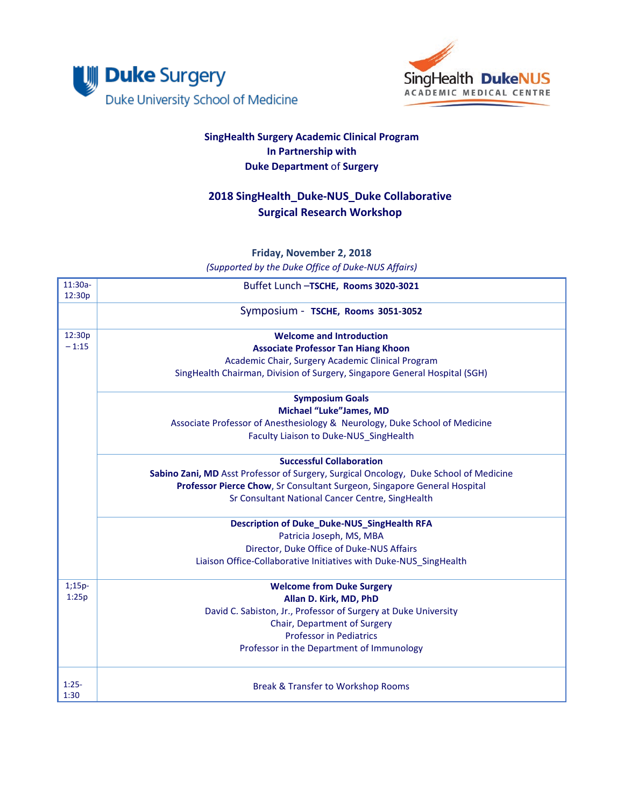



## **SingHealth Surgery Academic Clinical Program In Partnership with Duke Department** of **Surgery**

## **2018 SingHealth\_Duke-NUS\_Duke Collaborative Surgical Research Workshop**

**Friday, November 2, 2018** *(Supported by the Duke Office of Duke-NUS Affairs)*

| $11:30a-$<br>12:30p | Buffet Lunch -TSCHE, Rooms 3020-3021                                                  |  |  |  |
|---------------------|---------------------------------------------------------------------------------------|--|--|--|
|                     | Symposium - TSCHE, Rooms 3051-3052                                                    |  |  |  |
| 12:30p              | <b>Welcome and Introduction</b>                                                       |  |  |  |
| $-1:15$             | <b>Associate Professor Tan Hiang Khoon</b>                                            |  |  |  |
|                     | Academic Chair, Surgery Academic Clinical Program                                     |  |  |  |
|                     | SingHealth Chairman, Division of Surgery, Singapore General Hospital (SGH)            |  |  |  |
|                     | <b>Symposium Goals</b>                                                                |  |  |  |
|                     | <b>Michael "Luke"James, MD</b>                                                        |  |  |  |
|                     | Associate Professor of Anesthesiology & Neurology, Duke School of Medicine            |  |  |  |
|                     | Faculty Liaison to Duke-NUS SingHealth                                                |  |  |  |
|                     | <b>Successful Collaboration</b>                                                       |  |  |  |
|                     | Sabino Zani, MD Asst Professor of Surgery, Surgical Oncology, Duke School of Medicine |  |  |  |
|                     | Professor Pierce Chow, Sr Consultant Surgeon, Singapore General Hospital              |  |  |  |
|                     | Sr Consultant National Cancer Centre, SingHealth                                      |  |  |  |
|                     | <b>Description of Duke_Duke-NUS_SingHealth RFA</b>                                    |  |  |  |
|                     | Patricia Joseph, MS, MBA                                                              |  |  |  |
|                     | Director, Duke Office of Duke-NUS Affairs                                             |  |  |  |
|                     | Liaison Office-Collaborative Initiatives with Duke-NUS SingHealth                     |  |  |  |
| $1;15p-$            | <b>Welcome from Duke Surgery</b>                                                      |  |  |  |
| 1:25p               | Allan D. Kirk, MD, PhD                                                                |  |  |  |
|                     | David C. Sabiston, Jr., Professor of Surgery at Duke University                       |  |  |  |
|                     | Chair, Department of Surgery                                                          |  |  |  |
|                     | <b>Professor in Pediatrics</b>                                                        |  |  |  |
|                     | Professor in the Department of Immunology                                             |  |  |  |
| $1:25-$<br>1:30     | <b>Break &amp; Transfer to Workshop Rooms</b>                                         |  |  |  |